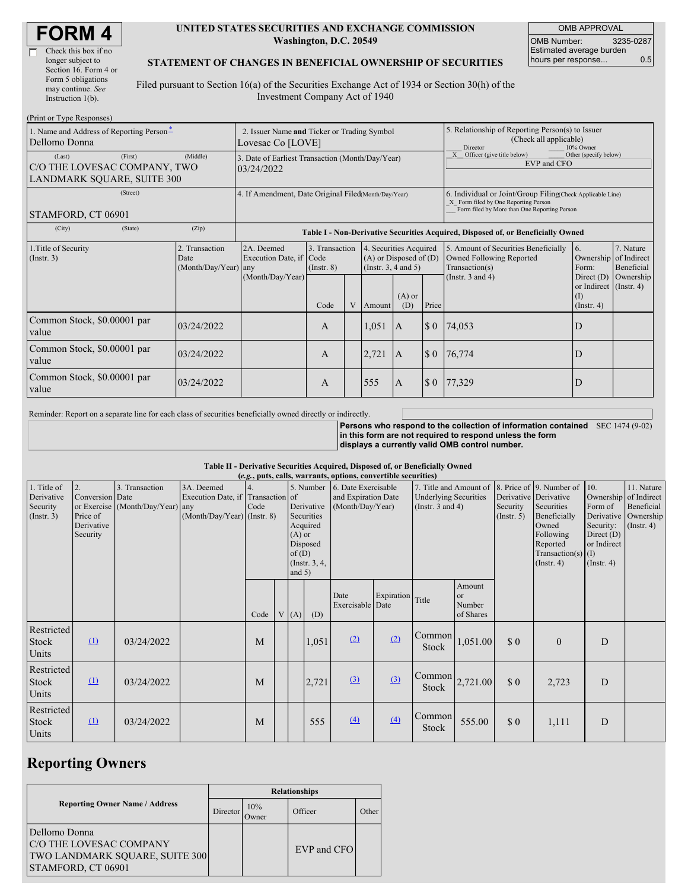| <b>FORM4</b> |
|--------------|
|--------------|

#### **UNITED STATES SECURITIES AND EXCHANGE COMMISSION Washington, D.C. 20549**

OMB APPROVAL OMB Number: 3235-0287 Estimated average burden hours per response... 0.5

### **STATEMENT OF CHANGES IN BENEFICIAL OWNERSHIP OF SECURITIES**

Filed pursuant to Section 16(a) of the Securities Exchange Act of 1934 or Section 30(h) of the Investment Company Act of 1940

| (Print or Type Responses)                                                              |                                                                  |                                                                                  |                                   |   |                                                                                  |                                                                                                     |                                                                                                                                                    |                                                                                    |                                                              |                         |
|----------------------------------------------------------------------------------------|------------------------------------------------------------------|----------------------------------------------------------------------------------|-----------------------------------|---|----------------------------------------------------------------------------------|-----------------------------------------------------------------------------------------------------|----------------------------------------------------------------------------------------------------------------------------------------------------|------------------------------------------------------------------------------------|--------------------------------------------------------------|-------------------------|
| 1. Name and Address of Reporting Person*<br>Dellomo Donna                              | 2. Issuer Name and Ticker or Trading Symbol<br>Lovesac Co [LOVE] |                                                                                  |                                   |   |                                                                                  | 5. Relationship of Reporting Person(s) to Issuer<br>(Check all applicable)<br>10% Owner<br>Director |                                                                                                                                                    |                                                                                    |                                                              |                         |
| (First)<br>(Last)<br>C/O THE LOVESAC COMPANY, TWO<br><b>LANDMARK SOUARE, SUITE 300</b> | 3. Date of Earliest Transaction (Month/Day/Year)<br>03/24/2022   |                                                                                  |                                   |   |                                                                                  |                                                                                                     | Other (specify below)<br>X Officer (give title below)<br>EVP and CFO                                                                               |                                                                                    |                                                              |                         |
| (Street)<br>STAMFORD, CT 06901                                                         | 4. If Amendment, Date Original Filed Month/Day/Year)             |                                                                                  |                                   |   |                                                                                  |                                                                                                     | 6. Individual or Joint/Group Filing(Check Applicable Line)<br>X Form filed by One Reporting Person<br>Form filed by More than One Reporting Person |                                                                                    |                                                              |                         |
| (City)<br>(State)                                                                      | (Zip)                                                            | Table I - Non-Derivative Securities Acquired, Disposed of, or Beneficially Owned |                                   |   |                                                                                  |                                                                                                     |                                                                                                                                                    |                                                                                    |                                                              |                         |
| 1. Title of Security<br>(Insert. 3)                                                    | 2. Transaction<br>Date<br>(Month/Day/Year) any                   | 2A. Deemed<br>Execution Date, if Code<br>(Month/Day/Year)                        | 3. Transaction<br>$($ Instr. $8)$ |   | 4. Securities Acquired<br>$(A)$ or Disposed of $(D)$<br>(Instr. $3, 4$ and $5$ ) |                                                                                                     |                                                                                                                                                    | 5. Amount of Securities Beneficially<br>Owned Following Reported<br>Transaction(s) | $\overline{6}$ .<br>Ownership of Indirect<br>Form:           | 7. Nature<br>Beneficial |
|                                                                                        |                                                                  |                                                                                  | Code                              | V | Amount                                                                           | $(A)$ or<br>(D)                                                                                     | Price                                                                                                                                              | (Instr. $3$ and $4$ )                                                              | Direct $(D)$<br>or Indirect (Instr. 4)<br>(I)<br>(Insert. 4) | Ownership               |
| Common Stock, \$0.00001 par<br>value                                                   | 03/24/2022                                                       |                                                                                  | A                                 |   | 1,051                                                                            | $\mathbf{A}$                                                                                        | $\boldsymbol{\mathsf{S}}$ 0                                                                                                                        | 74,053                                                                             | D                                                            |                         |
| Common Stock, \$0.00001 par<br>value                                                   | 03/24/2022                                                       |                                                                                  | A                                 |   | 2,721                                                                            | $\mathbf{A}$                                                                                        | $\boldsymbol{\mathsf{S}}$ 0                                                                                                                        | 76,774                                                                             | D                                                            |                         |
| Common Stock, \$0.00001 par<br>value                                                   | 03/24/2022                                                       |                                                                                  | A                                 |   | 555                                                                              | A                                                                                                   | $\boldsymbol{\mathsf{S}}$ 0                                                                                                                        | 77,329                                                                             | D                                                            |                         |

Reminder: Report on a separate line for each class of securities beneficially owned directly or indirectly.

**Persons who respond to the collection of information contained** SEC 1474 (9-02) **in this form are not required to respond unless the form displays a currently valid OMB control number.**

#### **Table II - Derivative Securities Acquired, Disposed of, or Beneficially Owned**

| (e.g., puts, calls, warrants, options, convertible securities) |                                                             |                                                    |                                                                                |      |  |                                                                                                      |       |                                                                          |                  |                                                                                 |                                                |                                                  |                                                                                                                                                               |                                                                                                                       |                                                           |
|----------------------------------------------------------------|-------------------------------------------------------------|----------------------------------------------------|--------------------------------------------------------------------------------|------|--|------------------------------------------------------------------------------------------------------|-------|--------------------------------------------------------------------------|------------------|---------------------------------------------------------------------------------|------------------------------------------------|--------------------------------------------------|---------------------------------------------------------------------------------------------------------------------------------------------------------------|-----------------------------------------------------------------------------------------------------------------------|-----------------------------------------------------------|
| 1. Title of<br>Derivative<br>Security<br>(Insert. 3)           | 2.<br>Conversion Date<br>Price of<br>Derivative<br>Security | 3. Transaction<br>or Exercise (Month/Day/Year) any | 3A. Deemed<br>Execution Date, if Transaction of<br>(Month/Day/Year) (Instr. 8) | Code |  | Derivative<br>Securities<br>Acquired<br>$(A)$ or<br>Disposed<br>of(D)<br>(Instr. $3, 4,$<br>and $5)$ |       | 5. Number 6. Date Exercisable<br>and Expiration Date<br>(Month/Day/Year) |                  | 7. Title and Amount of<br><b>Underlying Securities</b><br>(Instr. $3$ and $4$ ) |                                                | Security<br>(Insert. 5)                          | 8. Price of 9. Number of<br>Derivative Derivative<br>Securities<br>Beneficially<br>Owned<br>Following<br>Reported<br>Transaction(s) $(I)$<br>$($ Instr. 4 $)$ | 10.<br>Ownership of Indirect<br>Form of<br>Derivative<br>Security:<br>Direct $(D)$<br>or Indirect<br>$($ Instr. 4 $)$ | 11. Nature<br>Beneficial<br>Ownership<br>$($ Instr. 4 $)$ |
|                                                                |                                                             |                                                    |                                                                                | Code |  | V(A)                                                                                                 | (D)   | Date<br>Exercisable Date                                                 | Expiration Title |                                                                                 | Amount<br><sub>or</sub><br>Number<br>of Shares |                                                  |                                                                                                                                                               |                                                                                                                       |                                                           |
| Restricted<br>Stock<br>Units                                   | $\Omega$                                                    | 03/24/2022                                         |                                                                                | M    |  |                                                                                                      | 1,051 | (2)                                                                      | (2)              | Common<br>Stock                                                                 | 1,051.00                                       | $\boldsymbol{\mathsf{S}}\boldsymbol{\mathsf{0}}$ | $\overline{0}$                                                                                                                                                | D                                                                                                                     |                                                           |
| Restricted<br><b>Stock</b><br>Units                            | $\Omega$                                                    | 03/24/2022                                         |                                                                                | M    |  |                                                                                                      | 2,721 | $\Omega$                                                                 | (3)              | Common<br>Stock                                                                 | 2,721.00                                       | $\boldsymbol{\mathsf{S}}\boldsymbol{\mathsf{0}}$ | 2,723                                                                                                                                                         | D                                                                                                                     |                                                           |
| Restricted<br>Stock<br>Units                                   | $\Omega$                                                    | 03/24/2022                                         |                                                                                | M    |  |                                                                                                      | 555   | (4)                                                                      | (4)              | Common<br><b>Stock</b>                                                          | 555.00                                         | \$0                                              | 1,111                                                                                                                                                         | D                                                                                                                     |                                                           |

## **Reporting Owners**

|                                                                                                         | <b>Relationships</b>  |                     |             |       |  |  |  |  |  |
|---------------------------------------------------------------------------------------------------------|-----------------------|---------------------|-------------|-------|--|--|--|--|--|
| <b>Reporting Owner Name / Address</b>                                                                   | Director <sup>'</sup> | 10%<br><b>Twner</b> | Officer     | Other |  |  |  |  |  |
| Dellomo Donna<br>C/O THE LOVESAC COMPANY<br><b>TWO LANDMARK SQUARE, SUITE 300</b><br>STAMFORD, CT 06901 |                       |                     | EVP and CFO |       |  |  |  |  |  |